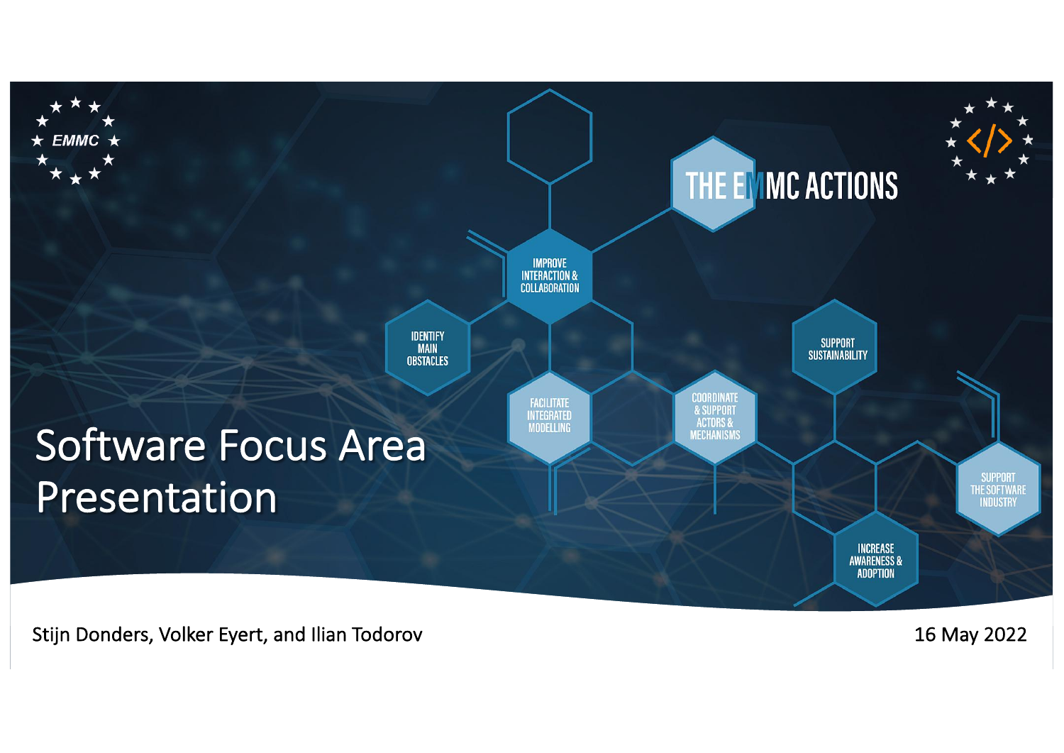

16 May 2022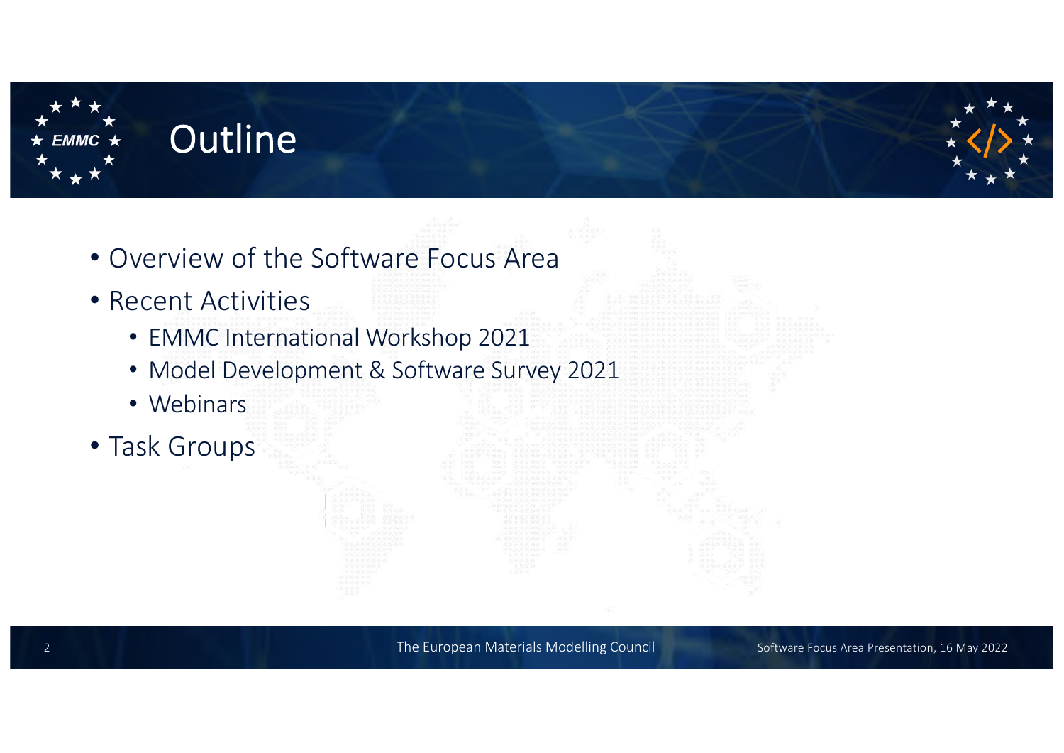

### **Outline**

- Overview of the Software Focus Area
- Recent Activities
	- EMMC International Workshop 2021
	- Model Development & Software Survey 2021
	- Webinars
- Task Groups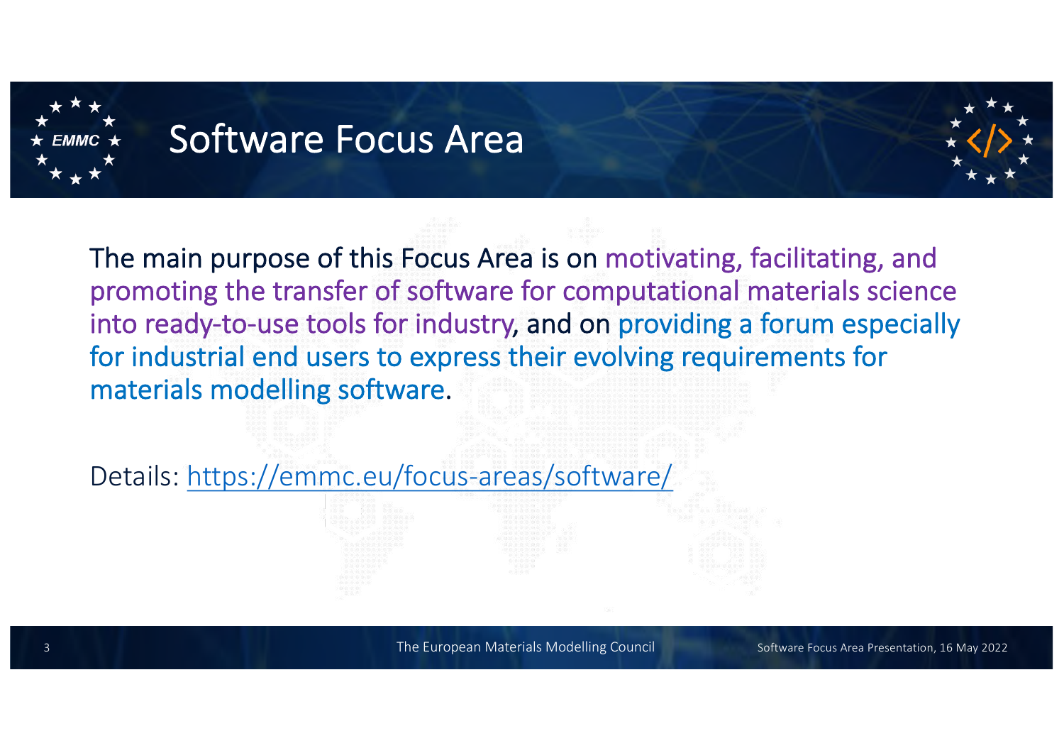

## Software Focus Area



The main purpose of this Focus Area is on motivating, facilitating, and promoting the transfer of software for computational materials science into ready-to-use tools for industry, and on providing a forum especially for industrial end users to express their evolving requirements for materials modelling software.

Details[: https://emmc.eu/focus-areas/software/](https://emmc.eu/focus-areas/software/)

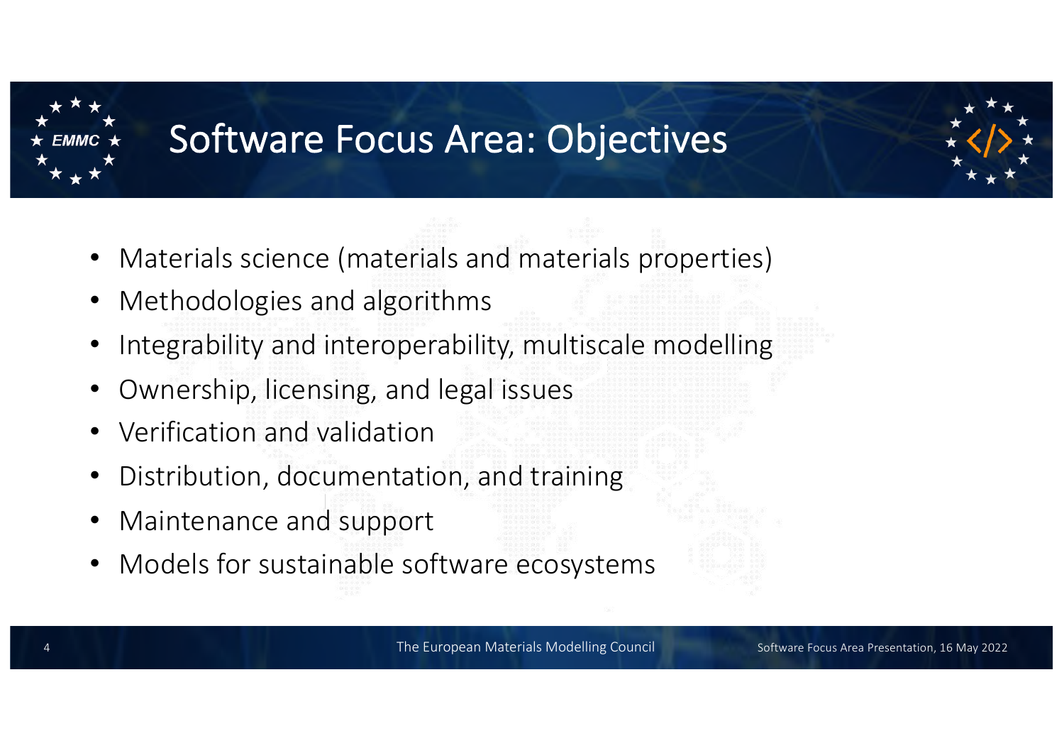

## Software Focus Area: Objectives

- Materials science (materials and materials properties)
- Methodologies and algorithms
- Integrability and interoperability, multiscale modelling
- Ownership, licensing, and legal issues
- Verification and validation
- Distribution, documentation, and training
- Maintenance and support
- Models for sustainable software ecosystems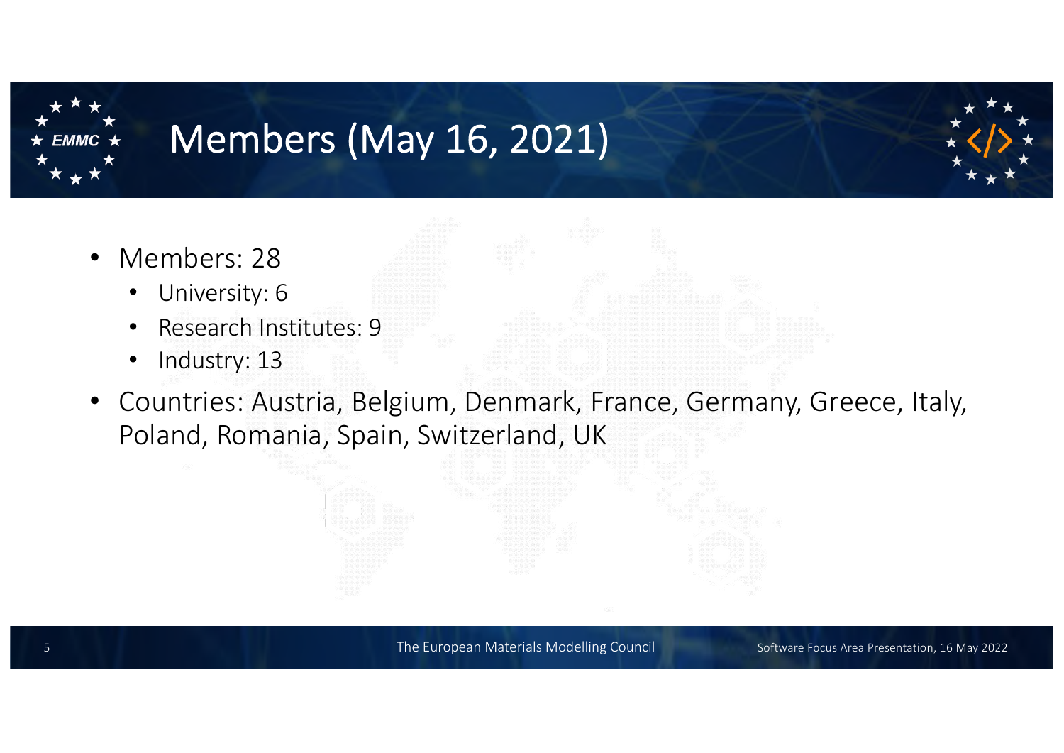

# Members (May 16, 2021)

- Members: 28
	- University: 6
	- Research Institutes: 9
	- Industry: 13
- Countries: Austria, Belgium, Denmark, France, Germany, Greece, Italy, Poland, Romania, Spain, Switzerland, UK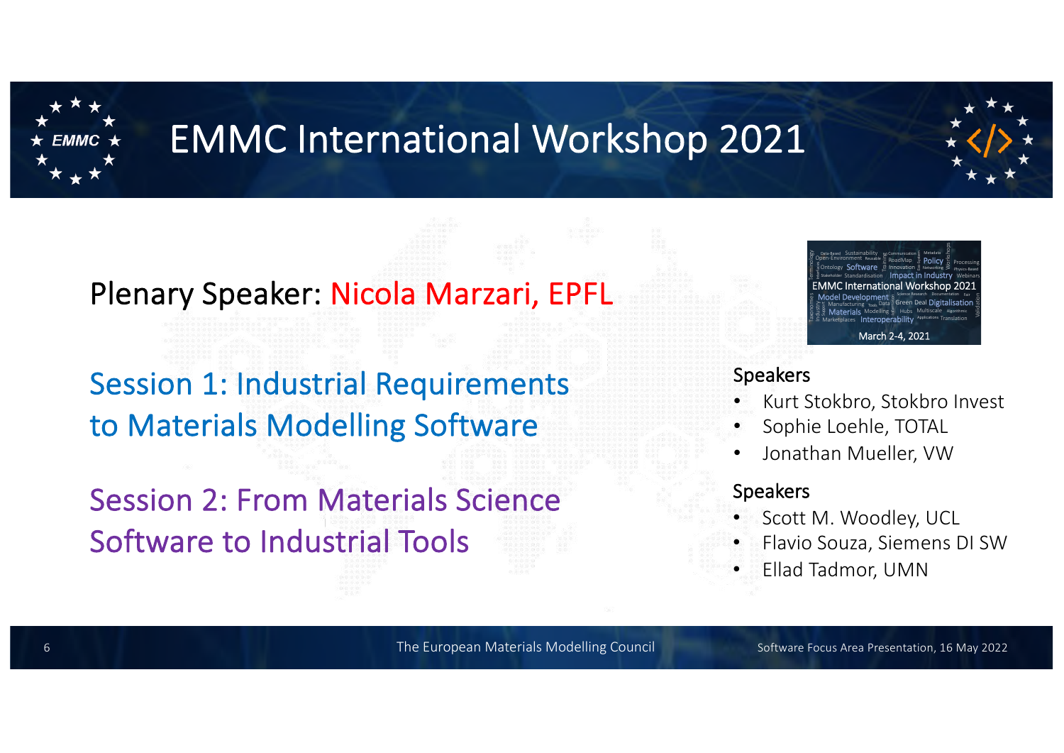

# EMMC International Workshop 2021

### Plenary Speaker: Nicola Marzari, EPFL

## Session 1: Industrial Requirements to Materials Modelling Software

## Session 2: From Materials Science Software to Industrial Tools



#### Speakers

- Kurt Stokbro, Stokbro Invest
- Sophie Loehle, TOTAL
- Jonathan Mueller, VW

#### Speakers

- Scott M. Woodley, UCL
- Flavio Souza, Siemens DI SW
- Ellad Tadmor, UMN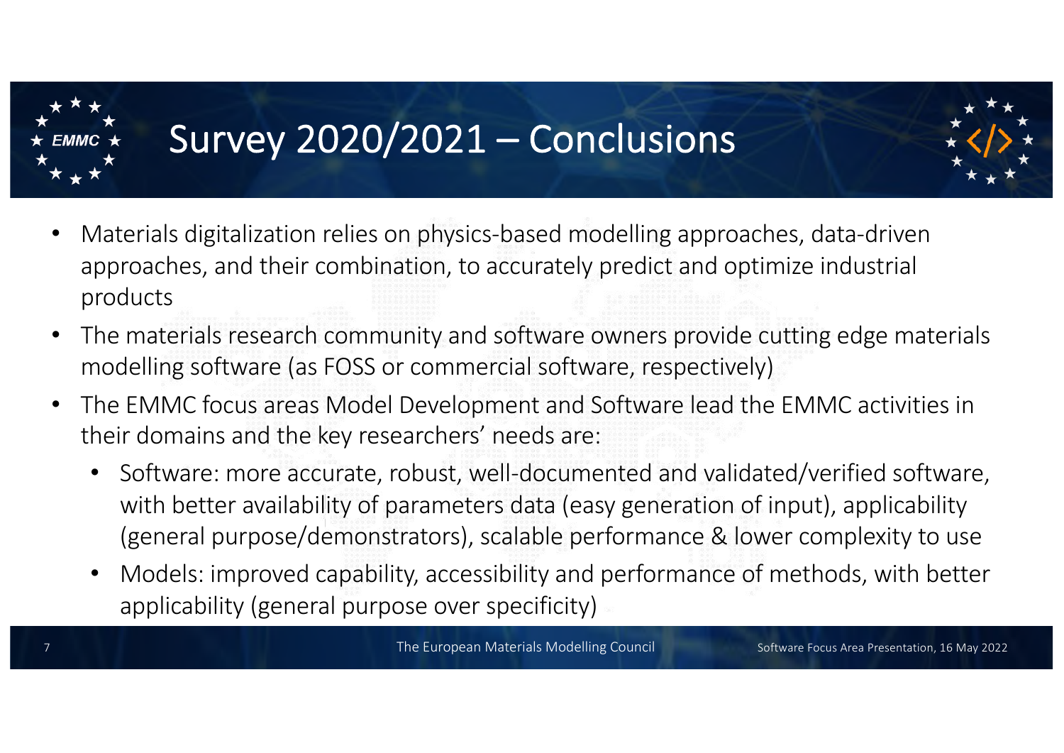

# Survey 2020/2021 – Conclusions

- 
- Materials digitalization relies on physics-based modelling approaches, data-driven approaches, and their combination, to accurately predict and optimize industrial products
- The materials research community and software owners provide cutting edge materials modelling software (as FOSS or commercial software, respectively)
- The EMMC focus areas Model Development and Software lead the EMMC activities in their domains and the key researchers' needs are:
	- Software: more accurate, robust, well-documented and validated/verified software, with better availability of parameters data (easy generation of input), applicability (general purpose/demonstrators), scalable performance & lower complexity to use
	- Models: improved capability, accessibility and performance of methods, with better applicability (general purpose over specificity)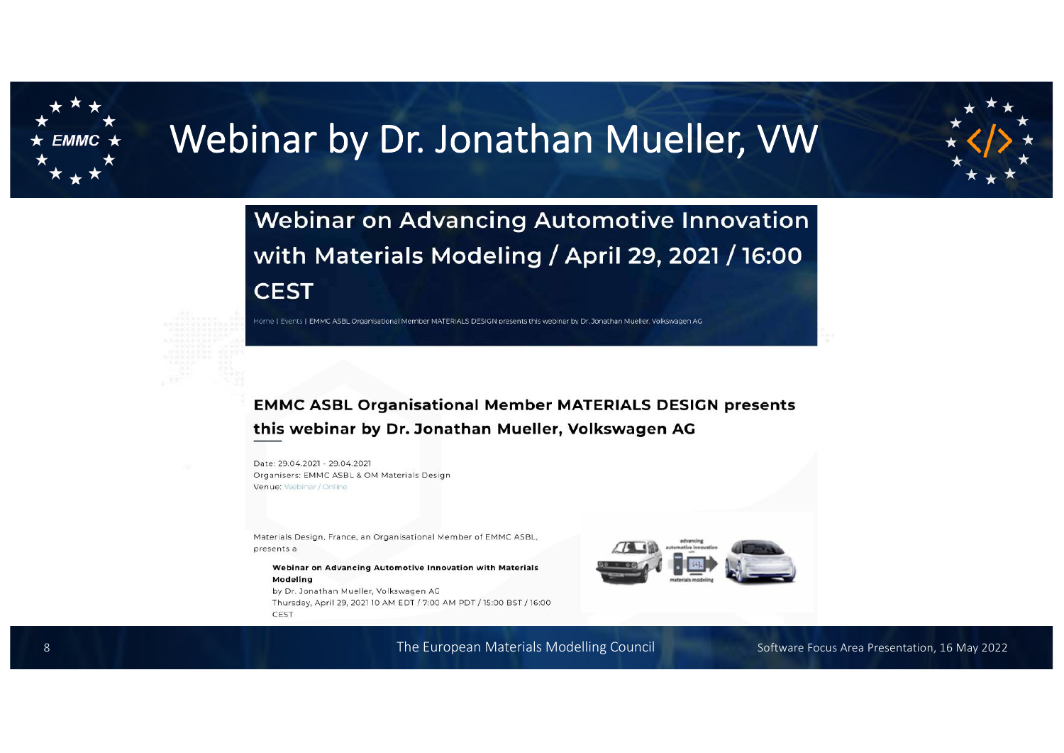

# Webinar by Dr. Jonathan Mueller, VW



**Webinar on Advancing Automotive Innovation** with Materials Modeling / April 29, 2021 / 16:00 **CEST** 

Home | Events | EMMC ASBL Organisational Member MATERIALS DESIGN presents this webinar by Dr. Jonathan Mueller, Volkswagen AG

#### **EMMC ASBL Organisational Member MATERIALS DESIGN presents** this webinar by Dr. Jonathan Mueller, Volkswagen AG

Date: 29.04.2021 - 29.04.2021 Organisers: EMMC ASBL & OM Materials Design Venue: Webinar / Online

Materials Design, France, an Organisational Member of EMMC ASBL, presents a

Webinar on Advancing Automotive Innovation with Materials Modeling

by Dr. Jonathan Mueller, Volkswagen AG Thursday, April 29, 2021 10 AM EDT / 7:00 AM PDT / 15:00 BST / 16:00 CEST



The European Materials Modelling Council 8 Software Focus Area Presentation, 16 May 2022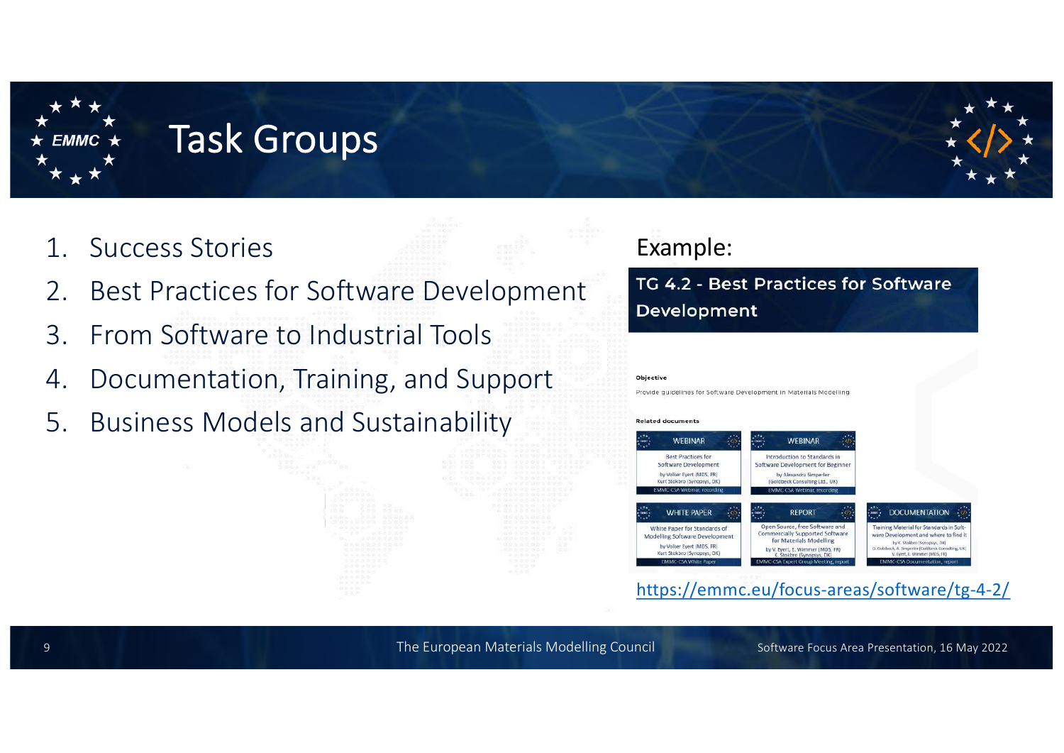

## Task Groups

- 1. Success Stories
- **Best Practices for Software Development**
- 3. From Software to Industrial Tools
- 4. Documentation, Training, and Support
- 5. Business Models and Sustainability

### Example:

#### TG 4.2 - Best Practices for Software Development

#### Objective

Provide guidelines for Software Development in Materials Modelling

#### **Related documents**



[https://emmc.eu/focus-areas/software/tg-4-2](https://emmc.eu/focus-areas/software/tg-4-2/)/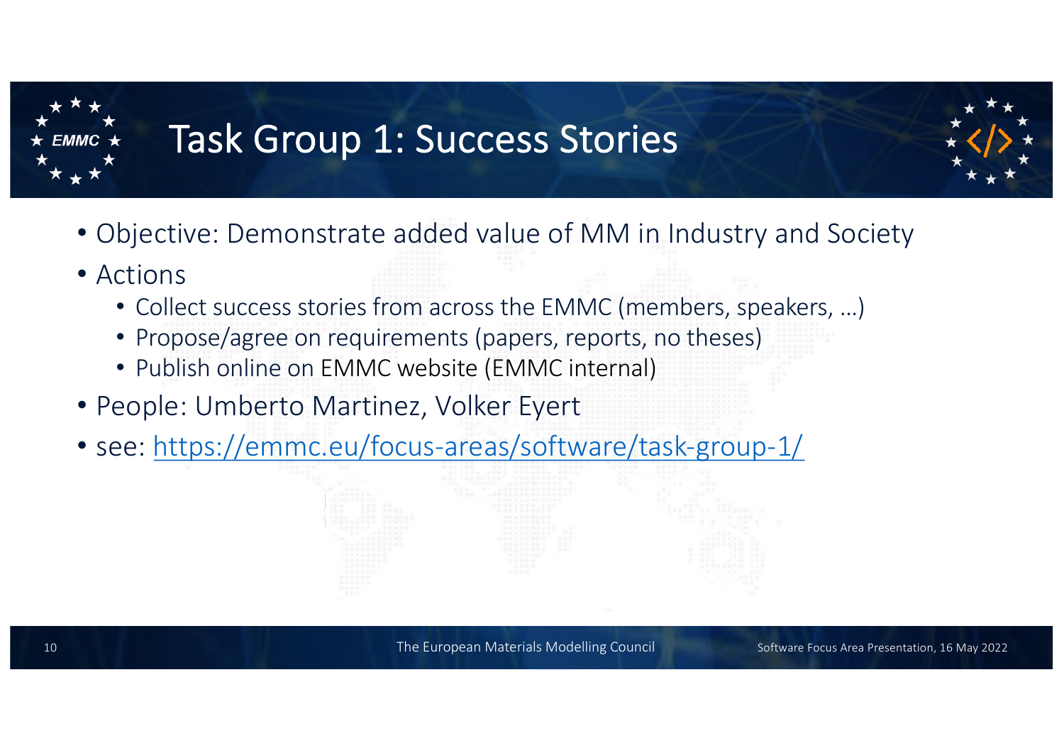

# Task Group 1: Success Stories



- Objective: Demonstrate added value of MM in Industry and Society
- Actions
	- Collect success stories from across the EMMC (members, speakers, …)
	- Propose/agree on requirements (papers, reports, no theses)
	- Publish online on EMMC website (EMMC internal)
- People: Umberto Martinez, Volker Eyert
- see[: https://emmc.eu/focus-areas/software/task-group-1/](https://emmc.eu/focus-areas/software/task-group-1/)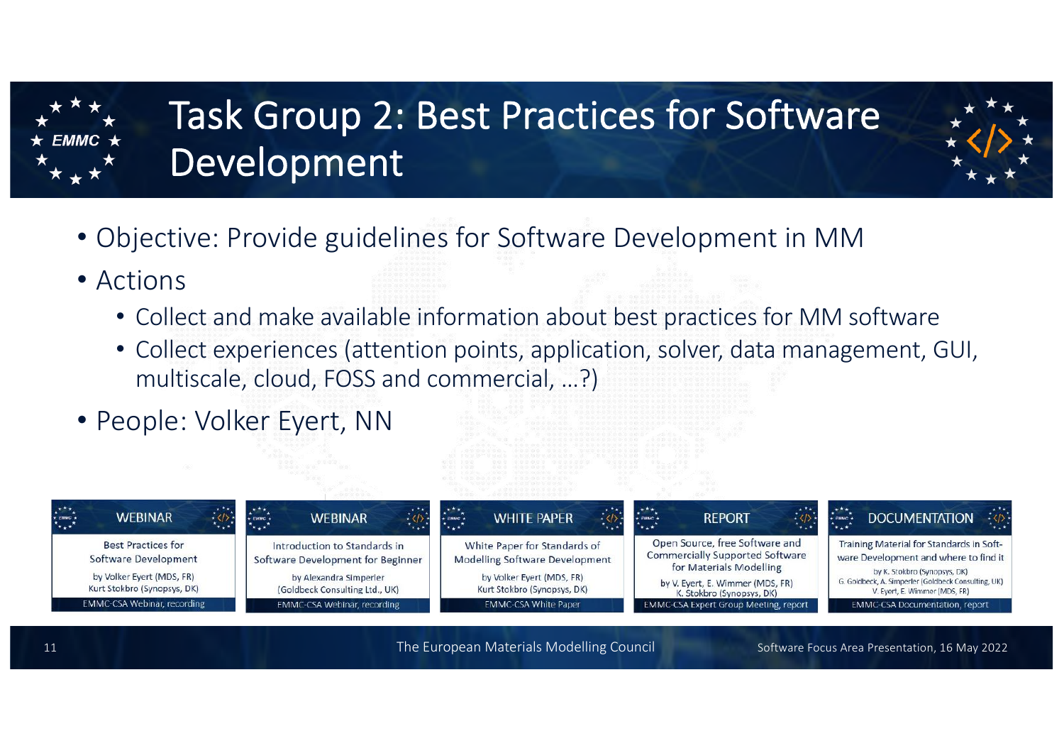

# Task Group 2: Best Practices for Software Development



- Objective: Provide guidelines for Software Development in MM
- Actions
	- Collect and make available information about best practices for MM software
	- Collect experiences (attention points, application, solver, data management, GUI, multiscale, cloud, FOSS and commercial, …?)
- People: Volker Eyert, NN

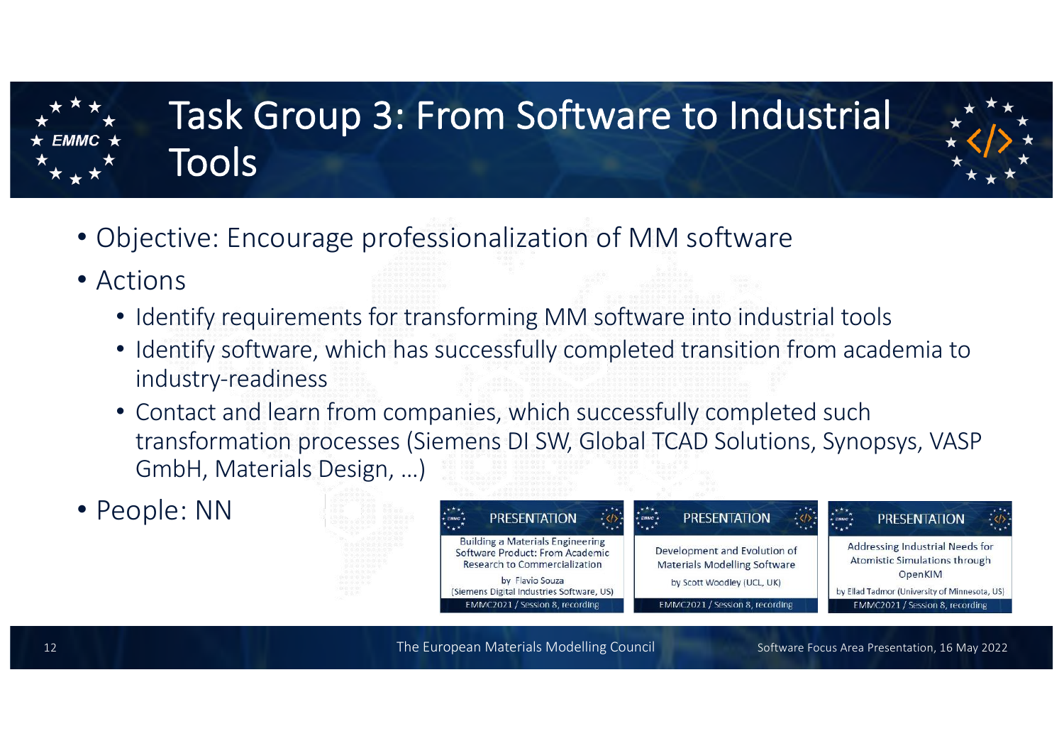

# Task Group 3: From Software to Industrial Tools



- Objective: Encourage professionalization of MM software
- Actions
	- Identify requirements for transforming MM software into industrial tools
	- Identify software, which has successfully completed transition from academia to industry-readiness
	- Contact and learn from companies, which successfully completed such transformation processes (Siemens DI SW, Global TCAD Solutions, Synopsys, VASP GmbH, Materials Design, …)
- People: NN

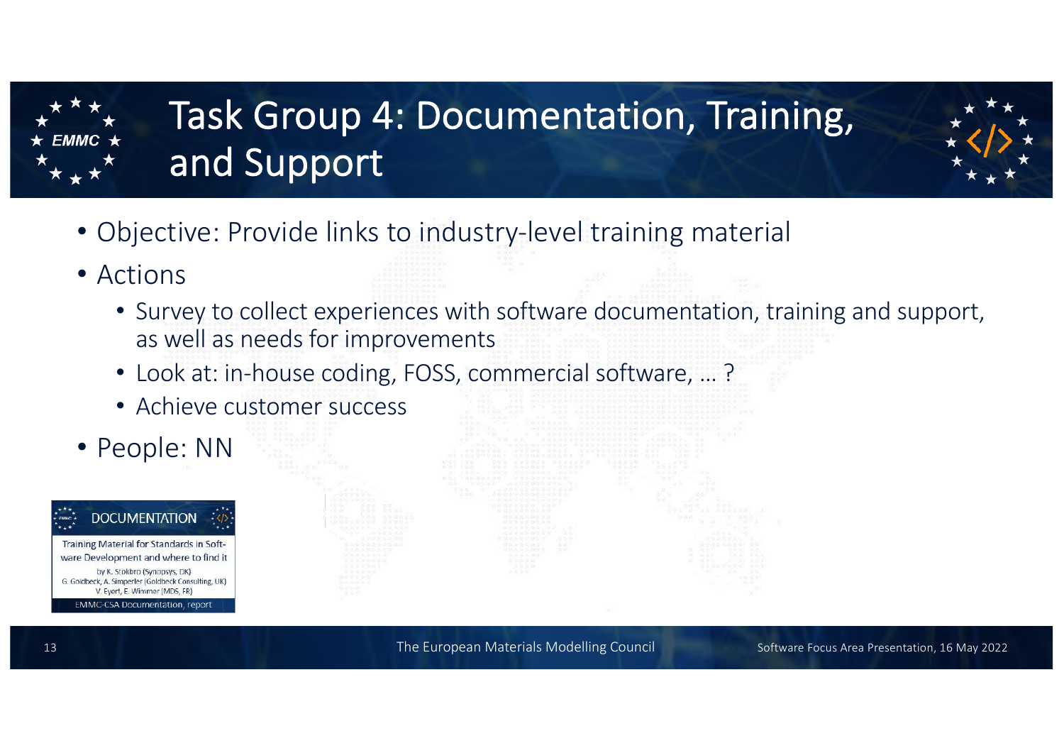

# Task Group 4: Documentation, Training, and Support



- Objective: Provide links to industry-level training material
- Actions
	- Survey to collect experiences with software documentation, training and support, as well as needs for improvements
	- Look at: in-house coding, FOSS, commercial software, … ?
	- Achieve customer success
- People: NN

#### **DOCUMENTATION** Training Material for Standards in Software Development and where to find it by K. Stokbro (Synopsys, DK) G. Goldbeck, A. Simperler (Goldbeck Consulting, UK) V. Evert, E. Wimmer (MDS, FR) **EMMC-CSA Documentation, report**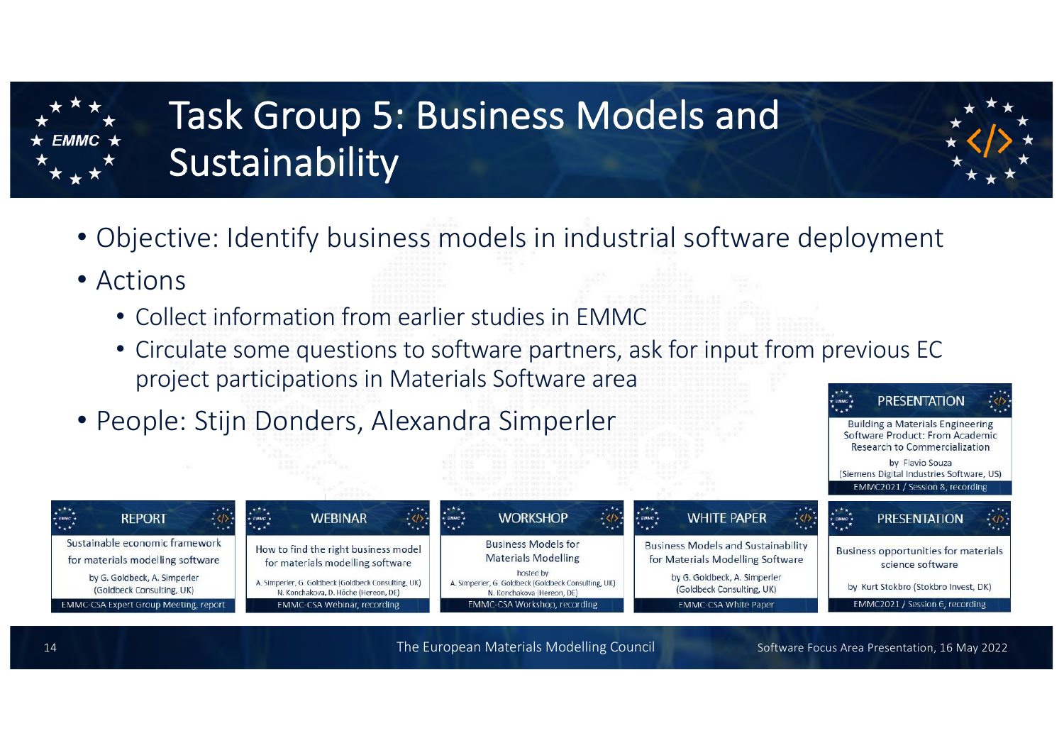

# Task Group 5: Business Models and Sustainability

- 
- Objective: Identify business models in industrial software deployment
- Actions
	- Collect information from earlier studies in EMMC
	- Circulate some questions to software partners, ask for input from previous EC project participations in Materials Software area **PRESENTATION**
- People: Stijn Donders, Alexandra Simperler



**Building a Materials Engineering** Software Product: From Academic **Research to Commercialization** by Flavio Souza (Siemens Digital Industries Software, US)